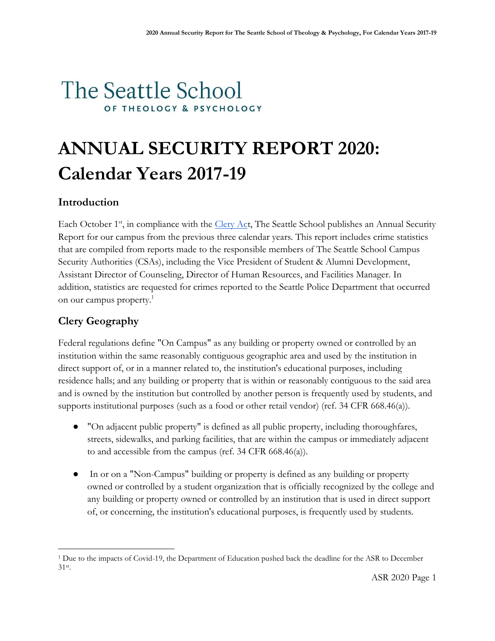# The Seattle School OF THEOLOGY & PSYCHOLOGY

# **ANNUAL SECURITY REPORT 2020: Calendar Years 2017-19**

# **Introduction**

Each October 1<sup>st</sup>, in compliance with the *Clery Act*, The Seattle School publishes an Annual Security Report for our campus from the previous three calendar years. This report includes crime statistics that are compiled from reports made to the responsible members of The Seattle School Campus Security Authorities (CSAs), including the Vice President of Student & Alumni Development, Assistant Director of Counseling, Director of Human Resources, and Facilities Manager. In addition, statistics are requested for crimes reported to the Seattle Police Department that occurred on our campus property.<sup>1</sup>

# **Clery Geography**

 $\overline{a}$ 

Federal regulations define "On Campus" as any building or property owned or controlled by an institution within the same reasonably contiguous geographic area and used by the institution in direct support of, or in a manner related to, the institution's educational purposes, including residence halls; and any building or property that is within or reasonably contiguous to the said area and is owned by the institution but controlled by another person is frequently used by students, and supports institutional purposes (such as a food or other retail vendor) (ref. 34 CFR 668.46(a)).

- "On adjacent public property" is defined as all public property, including thoroughfares, streets, sidewalks, and parking facilities, that are within the campus or immediately adjacent to and accessible from the campus (ref. 34 CFR 668.46(a)).
- In or on a "Non-Campus" building or property is defined as any building or property owned or controlled by a student organization that is officially recognized by the college and any building or property owned or controlled by an institution that is used in direct support of, or concerning, the institution's educational purposes, is frequently used by students.

<sup>1</sup> Due to the impacts of Covid-19, the Department of Education pushed back the deadline for the ASR to December 31st .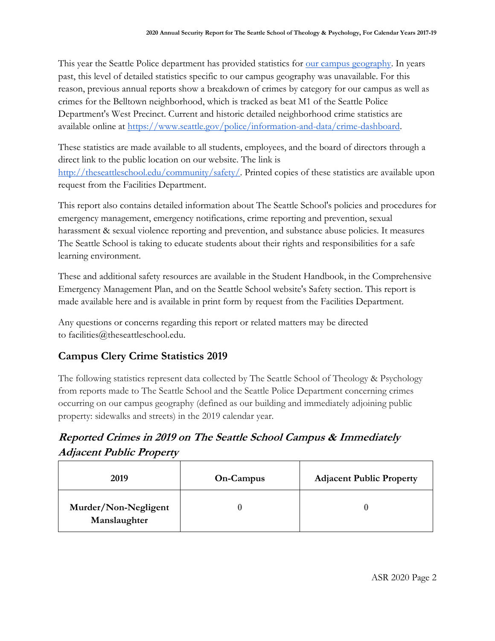This year the Seattle Police department has provided statistics for <u>our campus geography</u>. In years past, this level of detailed statistics specific to our campus geography was unavailable. For this reason, previous annual reports show a breakdown of crimes by category for our campus as well as crimes for the Belltown neighborhood, which is tracked as beat M1 of the Seattle Police Department's West Precinct. Current and historic detailed neighborhood crime statistics are available online at [https://www.seattle.gov/police/information-and-data/crime-dashboard.](https://www.seattle.gov/police/information-and-data/crime-dashboard)

These statistics are made available to all students, employees, and the board of directors through a direct link to the public location on our website. The link is [http://theseattleschool.edu/community/safety/.](http://theseattleschool.edu/community/safety/) Printed copies of these statistics are available upon request from the Facilities Department.

This report also contains detailed information about The Seattle School's policies and procedures for emergency management, emergency notifications, crime reporting and prevention, sexual harassment & sexual violence reporting and prevention, and substance abuse policies. It measures The Seattle School is taking to educate students about their rights and responsibilities for a safe learning environment.

These and additional safety resources are available in the Student Handbook, in the Comprehensive Emergency Management Plan, and on the Seattle School website's Safety section. This report is made available here and is available in print form by request from the Facilities Department.

Any questions or concerns regarding this report or related matters may be directed to facilities@theseattleschool.edu.

# **Campus Clery Crime Statistics 2019**

The following statistics represent data collected by The Seattle School of Theology & Psychology from reports made to The Seattle School and the Seattle Police Department concerning crimes occurring on our campus geography (defined as our building and immediately adjoining public property: sidewalks and streets) in the 2019 calendar year.

# **Reported Crimes in 2019 on The Seattle School Campus & Immediately Adjacent Public Property**

| 2019                                 | On-Campus | <b>Adjacent Public Property</b> |
|--------------------------------------|-----------|---------------------------------|
| Murder/Non-Negligent<br>Manslaughter |           |                                 |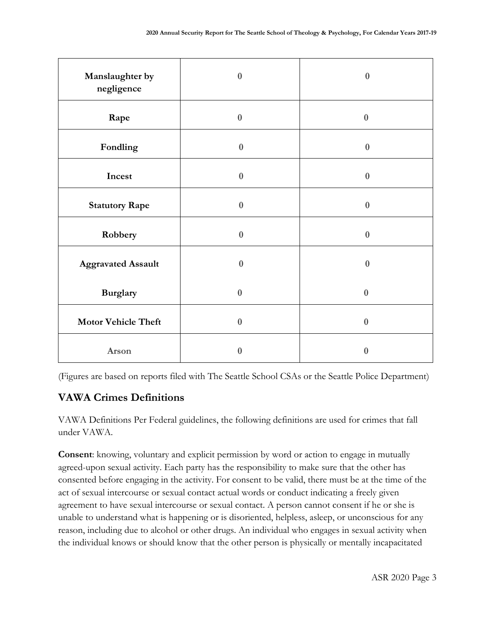| Manslaughter by<br>negligence | $\bf{0}$         | $\bf{0}$         |
|-------------------------------|------------------|------------------|
| Rape                          | $\boldsymbol{0}$ | $\bf{0}$         |
| Fondling                      | $\bf{0}$         | $\bf{0}$         |
| Incest                        | $\bf{0}$         | $\boldsymbol{0}$ |
| <b>Statutory Rape</b>         | $\bf{0}$         | $\bf{0}$         |
| Robbery                       | $\bf{0}$         | $\bf{0}$         |
| <b>Aggravated Assault</b>     | $\bf{0}$         | $\bf{0}$         |
| <b>Burglary</b>               | $\boldsymbol{0}$ | $\bf{0}$         |
| <b>Motor Vehicle Theft</b>    | $\bf{0}$         | $\pmb{0}$        |
| Arson                         | 0                | 0                |

(Figures are based on reports filed with The Seattle School CSAs or the Seattle Police Department)

# **VAWA Crimes Definitions**

VAWA Definitions Per Federal guidelines, the following definitions are used for crimes that fall under VAWA.

**Consent**: knowing, voluntary and explicit permission by word or action to engage in mutually agreed-upon sexual activity. Each party has the responsibility to make sure that the other has consented before engaging in the activity. For consent to be valid, there must be at the time of the act of sexual intercourse or sexual contact actual words or conduct indicating a freely given agreement to have sexual intercourse or sexual contact. A person cannot consent if he or she is unable to understand what is happening or is disoriented, helpless, asleep, or unconscious for any reason, including due to alcohol or other drugs. An individual who engages in sexual activity when the individual knows or should know that the other person is physically or mentally incapacitated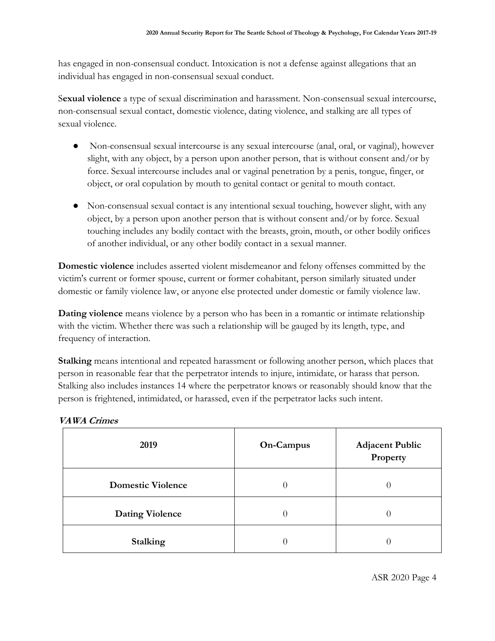has engaged in non-consensual conduct. Intoxication is not a defense against allegations that an individual has engaged in non-consensual sexual conduct.

S**exual violence** a type of sexual discrimination and harassment. Non-consensual sexual intercourse, non-consensual sexual contact, domestic violence, dating violence, and stalking are all types of sexual violence.

- Non-consensual sexual intercourse is any sexual intercourse (anal, oral, or vaginal), however slight, with any object, by a person upon another person, that is without consent and/or by force. Sexual intercourse includes anal or vaginal penetration by a penis, tongue, finger, or object, or oral copulation by mouth to genital contact or genital to mouth contact.
- Non-consensual sexual contact is any intentional sexual touching, however slight, with any object, by a person upon another person that is without consent and/or by force. Sexual touching includes any bodily contact with the breasts, groin, mouth, or other bodily orifices of another individual, or any other bodily contact in a sexual manner.

**Domestic violence** includes asserted violent misdemeanor and felony offenses committed by the victim's current or former spouse, current or former cohabitant, person similarly situated under domestic or family violence law, or anyone else protected under domestic or family violence law.

**Dating violence** means violence by a person who has been in a romantic or intimate relationship with the victim. Whether there was such a relationship will be gauged by its length, type, and frequency of interaction.

**Stalking** means intentional and repeated harassment or following another person, which places that person in reasonable fear that the perpetrator intends to injure, intimidate, or harass that person. Stalking also includes instances 14 where the perpetrator knows or reasonably should know that the person is frightened, intimidated, or harassed, even if the perpetrator lacks such intent.

| 2019                     | On-Campus | <b>Adjacent Public</b><br>Property |
|--------------------------|-----------|------------------------------------|
| <b>Domestic Violence</b> | O         |                                    |
| <b>Dating Violence</b>   | 0         | O                                  |
| <b>Stalking</b>          |           |                                    |

#### **VAWA Crimes**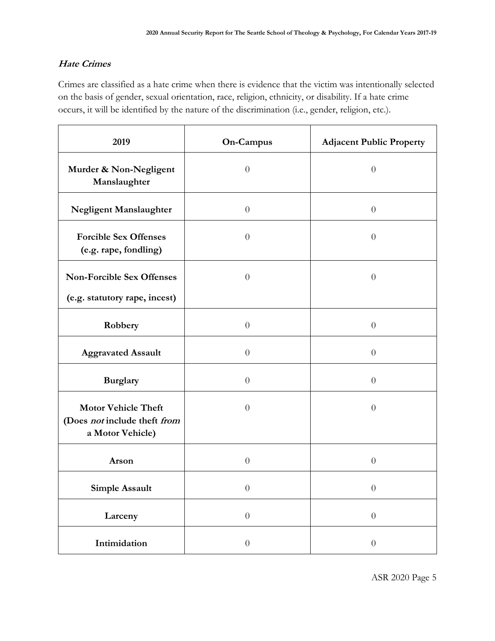#### **Hate Crimes**

Crimes are classified as a hate crime when there is evidence that the victim was intentionally selected on the basis of gender, sexual orientation, race, religion, ethnicity, or disability. If a hate crime occurs, it will be identified by the nature of the discrimination (i.e., gender, religion, etc.).

| 2019                                                                           | On-Campus        | <b>Adjacent Public Property</b> |
|--------------------------------------------------------------------------------|------------------|---------------------------------|
| Murder & Non-Negligent<br>Manslaughter                                         | $\theta$         | $\theta$                        |
| Negligent Manslaughter                                                         | $\theta$         | $\theta$                        |
| <b>Forcible Sex Offenses</b><br>(e.g. rape, fondling)                          | $\theta$         | $\theta$                        |
| <b>Non-Forcible Sex Offenses</b>                                               | $\overline{0}$   | $\theta$                        |
| (e.g. statutory rape, incest)                                                  |                  |                                 |
| Robbery                                                                        | $\theta$         | $\theta$                        |
| <b>Aggravated Assault</b>                                                      | $\theta$         | $\theta$                        |
| <b>Burglary</b>                                                                | $\theta$         | $\theta$                        |
| <b>Motor Vehicle Theft</b><br>(Does not include theft from<br>a Motor Vehicle) | $\overline{0}$   | $\theta$                        |
| Arson                                                                          | $\theta$         | $\boldsymbol{0}$                |
| Simple Assault                                                                 | $\theta$         | $\theta$                        |
| Larceny                                                                        | $\boldsymbol{0}$ | $\boldsymbol{0}$                |
| Intimidation                                                                   | $\overline{0}$   | $\boldsymbol{0}$                |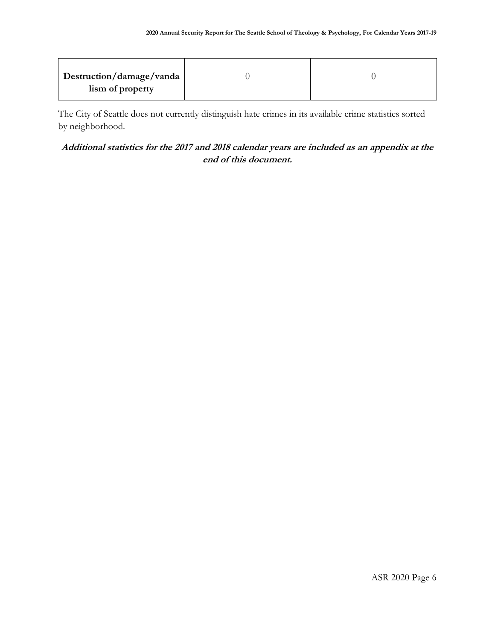| Destruction/damage/vanda |  |
|--------------------------|--|
| lism of property         |  |

The City of Seattle does not currently distinguish hate crimes in its available crime statistics sorted by neighborhood.

#### **Additional statistics for the 2017 and 2018 calendar years are included as an appendix at the end of this document.**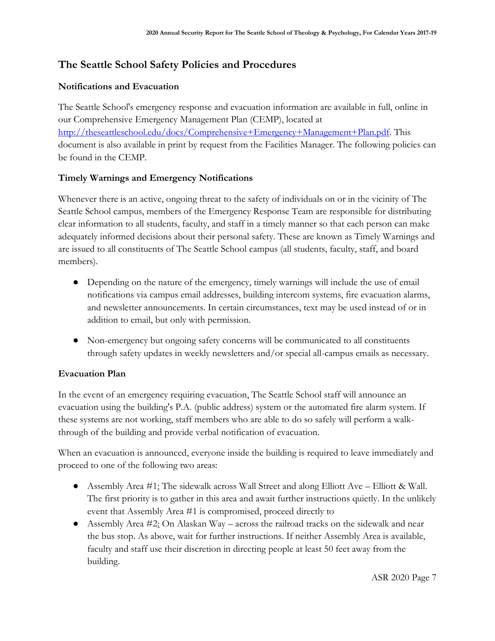# **The Seattle School Safety Policies and Procedures**

#### **Notifications and Evacuation**

The Seattle School's emergency response and evacuation information are available in full, online in our Comprehensive Emergency Management Plan (CEMP), located at [http://theseattleschool.edu/docs/Comprehensive+Emergency+Management+Plan.pdf.](http://theseattleschool.edu/docs/Comprehensive+Emergency+Management+Plan.pdf) This document is also available in print by request from the Facilities Manager. The following policies can be found in the CEMP.

#### **Timely Warnings and Emergency Notifications**

Whenever there is an active, ongoing threat to the safety of individuals on or in the vicinity of The Seattle School campus, members of the Emergency Response Team are responsible for distributing clear information to all students, faculty, and staff in a timely manner so that each person can make adequately informed decisions about their personal safety. These are known as Timely Warnings and are issued to all constituents of The Seattle School campus (all students, faculty, staff, and board members).

- Depending on the nature of the emergency, timely warnings will include the use of email notifications via campus email addresses, building intercom systems, fire evacuation alarms, and newsletter announcements. In certain circumstances, text may be used instead of or in addition to email, but only with permission.
- Non-emergency but ongoing safety concerns will be communicated to all constituents through safety updates in weekly newsletters and/or special all-campus emails as necessary.

#### **Evacuation Plan**

In the event of an emergency requiring evacuation, The Seattle School staff will announce an evacuation using the building's P.A. (public address) system or the automated fire alarm system. If these systems are not working, staff members who are able to do so safely will perform a walkthrough of the building and provide verbal notification of evacuation.

When an evacuation is announced, everyone inside the building is required to leave immediately and proceed to one of the following two areas:

- Assembly Area #1: The sidewalk across Wall Street and along Elliott Ave Elliott & Wall. The first priority is to gather in this area and await further instructions quietly. In the unlikely event that Assembly Area #1 is compromised, proceed directly to
- Assembly Area  $\#2$ : On Alaskan Way across the railroad tracks on the sidewalk and near the bus stop. As above, wait for further instructions. If neither Assembly Area is available, faculty and staff use their discretion in directing people at least 50 feet away from the building.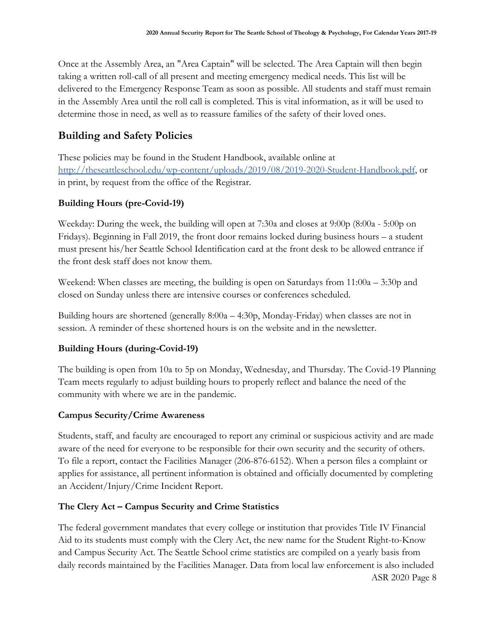Once at the Assembly Area, an "Area Captain" will be selected. The Area Captain will then begin taking a written roll-call of all present and meeting emergency medical needs. This list will be delivered to the Emergency Response Team as soon as possible. All students and staff must remain in the Assembly Area until the roll call is completed. This is vital information, as it will be used to determine those in need, as well as to reassure families of the safety of their loved ones.

# **Building and Safety Policies**

These policies may be found in the Student Handbook, available online at [http://theseattleschool.edu/wp-content/uploads/2019/08/2019-2020-Student-Handbook.pdf,](http://theseattleschool.edu/wp-content/uploads/2019/08/2019-2020-Student-Handbook.pdf) or in print, by request from the office of the Registrar.

# **Building Hours (pre-Covid-19)**

Weekday: During the week, the building will open at 7:30a and closes at 9:00p (8:00a - 5:00p on Fridays). Beginning in Fall 2019, the front door remains locked during business hours – a student must present his/her Seattle School Identification card at the front desk to be allowed entrance if the front desk staff does not know them.

Weekend: When classes are meeting, the building is open on Saturdays from  $11:00a - 3:30p$  and closed on Sunday unless there are intensive courses or conferences scheduled.

Building hours are shortened (generally 8:00a – 4:30p, Monday-Friday) when classes are not in session. A reminder of these shortened hours is on the website and in the newsletter.

#### **Building Hours (during-Covid-19)**

The building is open from 10a to 5p on Monday, Wednesday, and Thursday. The Covid-19 Planning Team meets regularly to adjust building hours to properly reflect and balance the need of the community with where we are in the pandemic.

#### **Campus Security/Crime Awareness**

Students, staff, and faculty are encouraged to report any criminal or suspicious activity and are made aware of the need for everyone to be responsible for their own security and the security of others. To file a report, contact the Facilities Manager (206-876-6152). When a person files a complaint or applies for assistance, all pertinent information is obtained and officially documented by completing an Accident/Injury/Crime Incident Report.

# **The Clery Act – Campus Security and Crime Statistics**

ASR 2020 Page 8 The federal government mandates that every college or institution that provides Title IV Financial Aid to its students must comply with the Clery Act, the new name for the Student Right-to-Know and Campus Security Act. The Seattle School crime statistics are compiled on a yearly basis from daily records maintained by the Facilities Manager. Data from local law enforcement is also included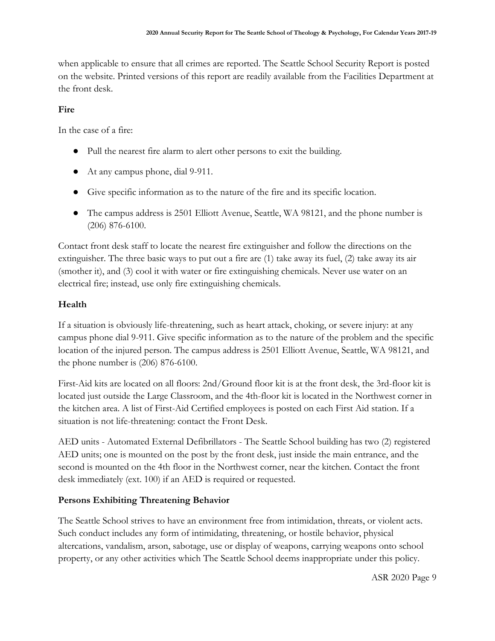when applicable to ensure that all crimes are reported. The Seattle School Security Report is posted on the website. Printed versions of this report are readily available from the Facilities Department at the front desk.

#### **Fire**

In the case of a fire:

- Pull the nearest fire alarm to alert other persons to exit the building.
- At any campus phone, dial 9-911.
- Give specific information as to the nature of the fire and its specific location.
- The campus address is 2501 Elliott Avenue, Seattle, WA 98121, and the phone number is (206) 876-6100.

Contact front desk staff to locate the nearest fire extinguisher and follow the directions on the extinguisher. The three basic ways to put out a fire are (1) take away its fuel, (2) take away its air (smother it), and (3) cool it with water or fire extinguishing chemicals. Never use water on an electrical fire; instead, use only fire extinguishing chemicals.

#### **Health**

If a situation is obviously life-threatening, such as heart attack, choking, or severe injury: at any campus phone dial 9-911. Give specific information as to the nature of the problem and the specific location of the injured person. The campus address is 2501 Elliott Avenue, Seattle, WA 98121, and the phone number is (206) 876-6100.

First-Aid kits are located on all floors: 2nd/Ground floor kit is at the front desk, the 3rd-floor kit is located just outside the Large Classroom, and the 4th-floor kit is located in the Northwest corner in the kitchen area. A list of First-Aid Certified employees is posted on each First Aid station. If a situation is not life-threatening: contact the Front Desk.

AED units - Automated External Defibrillators - The Seattle School building has two (2) registered AED units; one is mounted on the post by the front desk, just inside the main entrance, and the second is mounted on the 4th floor in the Northwest corner, near the kitchen. Contact the front desk immediately (ext. 100) if an AED is required or requested.

#### **Persons Exhibiting Threatening Behavior**

The Seattle School strives to have an environment free from intimidation, threats, or violent acts. Such conduct includes any form of intimidating, threatening, or hostile behavior, physical altercations, vandalism, arson, sabotage, use or display of weapons, carrying weapons onto school property, or any other activities which The Seattle School deems inappropriate under this policy.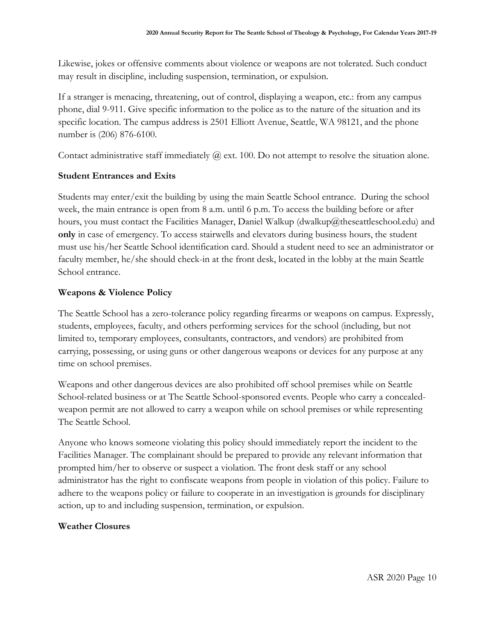Likewise, jokes or offensive comments about violence or weapons are not tolerated. Such conduct may result in discipline, including suspension, termination, or expulsion.

If a stranger is menacing, threatening, out of control, displaying a weapon, etc.: from any campus phone, dial 9-911. Give specific information to the police as to the nature of the situation and its specific location. The campus address is 2501 Elliott Avenue, Seattle, WA 98121, and the phone number is (206) 876-6100.

Contact administrative staff immediately  $Q$  ext. 100. Do not attempt to resolve the situation alone.

#### **Student Entrances and Exits**

Students may enter/exit the building by using the main Seattle School entrance. During the school week, the main entrance is open from 8 a.m. until 6 p.m. To access the building before or after hours, you must contact the Facilities Manager, Daniel Walkup (dwalkup@theseattleschool.edu) and **only** in case of emergency. To access stairwells and elevators during business hours, the student must use his/her Seattle School identification card. Should a student need to see an administrator or faculty member, he/she should check-in at the front desk, located in the lobby at the main Seattle School entrance.

#### **Weapons & Violence Policy**

The Seattle School has a zero-tolerance policy regarding firearms or weapons on campus. Expressly, students, employees, faculty, and others performing services for the school (including, but not limited to, temporary employees, consultants, contractors, and vendors) are prohibited from carrying, possessing, or using guns or other dangerous weapons or devices for any purpose at any time on school premises.

Weapons and other dangerous devices are also prohibited off school premises while on Seattle School-related business or at The Seattle School-sponsored events. People who carry a concealedweapon permit are not allowed to carry a weapon while on school premises or while representing The Seattle School.

Anyone who knows someone violating this policy should immediately report the incident to the Facilities Manager. The complainant should be prepared to provide any relevant information that prompted him/her to observe or suspect a violation. The front desk staff or any school administrator has the right to confiscate weapons from people in violation of this policy. Failure to adhere to the weapons policy or failure to cooperate in an investigation is grounds for disciplinary action, up to and including suspension, termination, or expulsion.

#### **Weather Closures**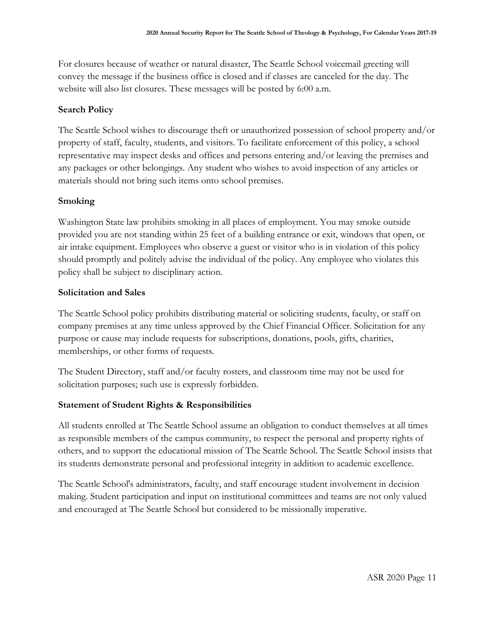For closures because of weather or natural disaster, The Seattle School voicemail greeting will convey the message if the business office is closed and if classes are canceled for the day. The website will also list closures. These messages will be posted by 6:00 a.m.

#### **Search Policy**

The Seattle School wishes to discourage theft or unauthorized possession of school property and/or property of staff, faculty, students, and visitors. To facilitate enforcement of this policy, a school representative may inspect desks and offices and persons entering and/or leaving the premises and any packages or other belongings. Any student who wishes to avoid inspection of any articles or materials should not bring such items onto school premises.

#### **Smoking**

Washington State law prohibits smoking in all places of employment. You may smoke outside provided you are not standing within 25 feet of a building entrance or exit, windows that open, or air intake equipment. Employees who observe a guest or visitor who is in violation of this policy should promptly and politely advise the individual of the policy. Any employee who violates this policy shall be subject to disciplinary action.

#### **Solicitation and Sales**

The Seattle School policy prohibits distributing material or soliciting students, faculty, or staff on company premises at any time unless approved by the Chief Financial Officer. Solicitation for any purpose or cause may include requests for subscriptions, donations, pools, gifts, charities, memberships, or other forms of requests.

The Student Directory, staff and/or faculty rosters, and classroom time may not be used for solicitation purposes; such use is expressly forbidden.

#### **Statement of Student Rights & Responsibilities**

All students enrolled at The Seattle School assume an obligation to conduct themselves at all times as responsible members of the campus community, to respect the personal and property rights of others, and to support the educational mission of The Seattle School. The Seattle School insists that its students demonstrate personal and professional integrity in addition to academic excellence.

The Seattle School's administrators, faculty, and staff encourage student involvement in decision making. Student participation and input on institutional committees and teams are not only valued and encouraged at The Seattle School but considered to be missionally imperative.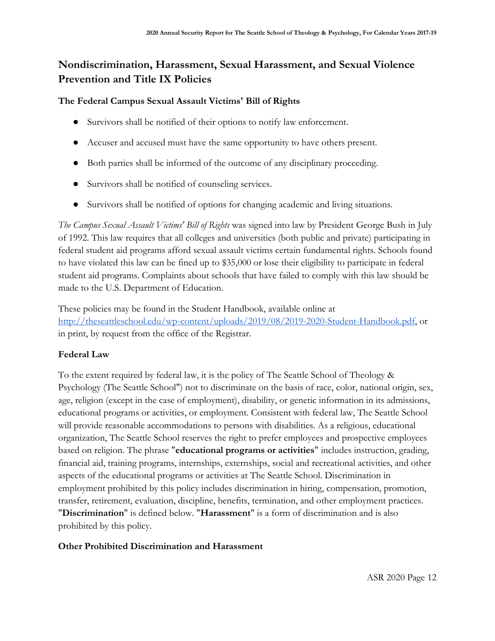# **Nondiscrimination, Harassment, Sexual Harassment, and Sexual Violence Prevention and Title IX Policies**

#### **The Federal Campus Sexual Assault Victims' Bill of Rights**

- Survivors shall be notified of their options to notify law enforcement.
- Accuser and accused must have the same opportunity to have others present.
- Both parties shall be informed of the outcome of any disciplinary proceeding.
- Survivors shall be notified of counseling services.
- Survivors shall be notified of options for changing academic and living situations.

*The Campus Sexual Assault Victims' Bill of Rights* was signed into law by President George Bush in July of 1992. This law requires that all colleges and universities (both public and private) participating in federal student aid programs afford sexual assault victims certain fundamental rights. Schools found to have violated this law can be fined up to \$35,000 or lose their eligibility to participate in federal student aid programs. Complaints about schools that have failed to comply with this law should be made to the U.S. Department of Education.

These policies may be found in the Student Handbook, available online at [http://theseattleschool.edu/wp-content/uploads/2019/08/2019-2020-Student-Handbook.pdf,](http://theseattleschool.edu/wp-content/uploads/2019/08/2019-2020-Student-Handbook.pdf) or in print, by request from the office of the Registrar.

#### **Federal Law**

To the extent required by federal law, it is the policy of The Seattle School of Theology & Psychology (The Seattle School") not to discriminate on the basis of race, color, national origin, sex, age, religion (except in the case of employment), disability, or genetic information in its admissions, educational programs or activities, or employment. Consistent with federal law, The Seattle School will provide reasonable accommodations to persons with disabilities. As a religious, educational organization, The Seattle School reserves the right to prefer employees and prospective employees based on religion. The phrase "**educational programs or activities**" includes instruction, grading, financial aid, training programs, internships, externships, social and recreational activities, and other aspects of the educational programs or activities at The Seattle School. Discrimination in employment prohibited by this policy includes discrimination in hiring, compensation, promotion, transfer, retirement, evaluation, discipline, benefits, termination, and other employment practices. "**Discrimination**" is defined below. "**Harassment**" is a form of discrimination and is also prohibited by this policy.

#### **Other Prohibited Discrimination and Harassment**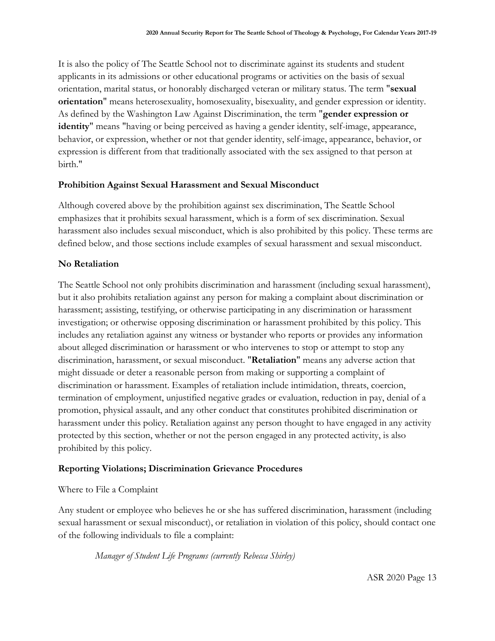It is also the policy of The Seattle School not to discriminate against its students and student applicants in its admissions or other educational programs or activities on the basis of sexual orientation, marital status, or honorably discharged veteran or military status. The term "**sexual orientation**" means heterosexuality, homosexuality, bisexuality, and gender expression or identity. As defined by the Washington Law Against Discrimination, the term "**gender expression or identity**" means "having or being perceived as having a gender identity, self-image, appearance, behavior, or expression, whether or not that gender identity, self-image, appearance, behavior, or expression is different from that traditionally associated with the sex assigned to that person at birth."

#### **Prohibition Against Sexual Harassment and Sexual Misconduct**

Although covered above by the prohibition against sex discrimination, The Seattle School emphasizes that it prohibits sexual harassment, which is a form of sex discrimination. Sexual harassment also includes sexual misconduct, which is also prohibited by this policy. These terms are defined below, and those sections include examples of sexual harassment and sexual misconduct.

#### **No Retaliation**

The Seattle School not only prohibits discrimination and harassment (including sexual harassment), but it also prohibits retaliation against any person for making a complaint about discrimination or harassment; assisting, testifying, or otherwise participating in any discrimination or harassment investigation; or otherwise opposing discrimination or harassment prohibited by this policy. This includes any retaliation against any witness or bystander who reports or provides any information about alleged discrimination or harassment or who intervenes to stop or attempt to stop any discrimination, harassment, or sexual misconduct. "**Retaliation**" means any adverse action that might dissuade or deter a reasonable person from making or supporting a complaint of discrimination or harassment. Examples of retaliation include intimidation, threats, coercion, termination of employment, unjustified negative grades or evaluation, reduction in pay, denial of a promotion, physical assault, and any other conduct that constitutes prohibited discrimination or harassment under this policy. Retaliation against any person thought to have engaged in any activity protected by this section, whether or not the person engaged in any protected activity, is also prohibited by this policy.

#### **Reporting Violations; Discrimination Grievance Procedures**

#### Where to File a Complaint

Any student or employee who believes he or she has suffered discrimination, harassment (including sexual harassment or sexual misconduct), or retaliation in violation of this policy, should contact one of the following individuals to file a complaint:

*Manager of Student Life Programs (currently Rebecca Shirley)*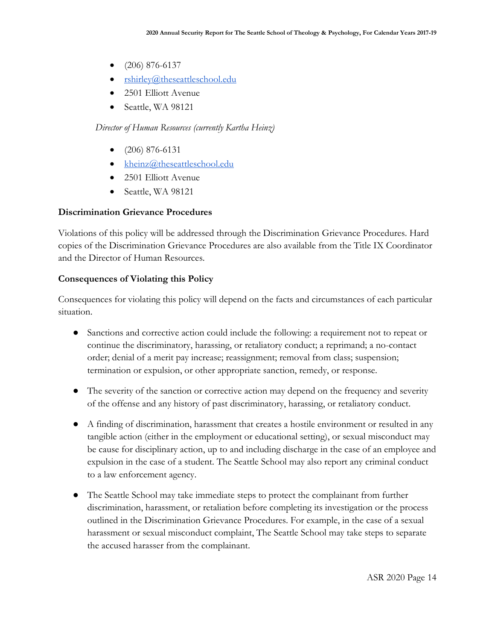- $\bullet$  (206) 876-6137
- $\bullet$  [rshirley@theseattleschool.edu](mailto:rshirley@theseattleschool.edu)
- 2501 Elliott Avenue
- Seattle, WA 98121

#### *Director of Human Resources (currently Kartha Heinz)*

- $\bullet$  (206) 876-6131
- $\bullet$  [kheinz@theseattleschool.edu](mailto:kheinz@theseattleschool.edu)
- 2501 Elliott Avenue
- Seattle, WA 98121

#### **Discrimination Grievance Procedures**

Violations of this policy will be addressed through the Discrimination Grievance Procedures. Hard copies of the Discrimination Grievance Procedures are also available from the Title IX Coordinator and the Director of Human Resources.

#### **Consequences of Violating this Policy**

Consequences for violating this policy will depend on the facts and circumstances of each particular situation.

- Sanctions and corrective action could include the following: a requirement not to repeat or continue the discriminatory, harassing, or retaliatory conduct; a reprimand; a no-contact order; denial of a merit pay increase; reassignment; removal from class; suspension; termination or expulsion, or other appropriate sanction, remedy, or response.
- The severity of the sanction or corrective action may depend on the frequency and severity of the offense and any history of past discriminatory, harassing, or retaliatory conduct.
- A finding of discrimination, harassment that creates a hostile environment or resulted in any tangible action (either in the employment or educational setting), or sexual misconduct may be cause for disciplinary action, up to and including discharge in the case of an employee and expulsion in the case of a student. The Seattle School may also report any criminal conduct to a law enforcement agency.
- The Seattle School may take immediate steps to protect the complainant from further discrimination, harassment, or retaliation before completing its investigation or the process outlined in the Discrimination Grievance Procedures. For example, in the case of a sexual harassment or sexual misconduct complaint, The Seattle School may take steps to separate the accused harasser from the complainant.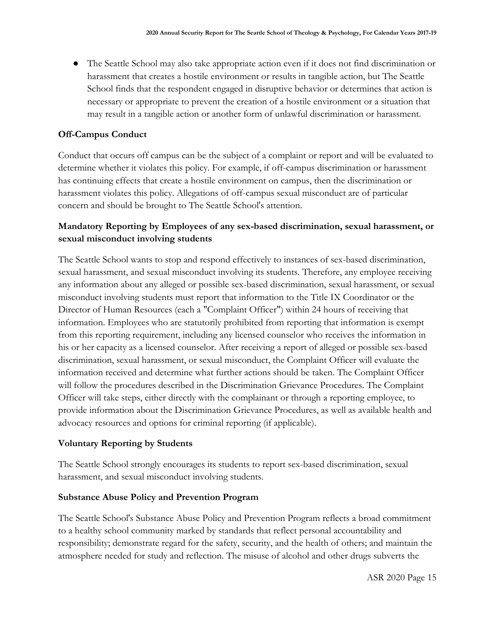● The Seattle School may also take appropriate action even if it does not find discrimination or harassment that creates a hostile environment or results in tangible action, but The Seattle School finds that the respondent engaged in disruptive behavior or determines that action is necessary or appropriate to prevent the creation of a hostile environment or a situation that may result in a tangible action or another form of unlawful discrimination or harassment.

#### **Off-Campus Conduct**

Conduct that occurs off campus can be the subject of a complaint or report and will be evaluated to determine whether it violates this policy. For example, if off-campus discrimination or harassment has continuing effects that create a hostile environment on campus, then the discrimination or harassment violates this policy. Allegations of off-campus sexual misconduct are of particular concern and should be brought to The Seattle School's attention.

#### **Mandatory Reporting by Employees of any sex-based discrimination, sexual harassment, or sexual misconduct involving students**

The Seattle School wants to stop and respond effectively to instances of sex-based discrimination, sexual harassment, and sexual misconduct involving its students. Therefore, any employee receiving any information about any alleged or possible sex-based discrimination, sexual harassment, or sexual misconduct involving students must report that information to the Title IX Coordinator or the Director of Human Resources (each a "Complaint Officer") within 24 hours of receiving that information. Employees who are statutorily prohibited from reporting that information is exempt from this reporting requirement, including any licensed counselor who receives the information in his or her capacity as a licensed counselor. After receiving a report of alleged or possible sex-based discrimination, sexual harassment, or sexual misconduct, the Complaint Officer will evaluate the information received and determine what further actions should be taken. The Complaint Officer will follow the procedures described in the Discrimination Grievance Procedures. The Complaint Officer will take steps, either directly with the complainant or through a reporting employee, to provide information about the Discrimination Grievance Procedures, as well as available health and advocacy resources and options for criminal reporting (if applicable).

#### **Voluntary Reporting by Students**

The Seattle School strongly encourages its students to report sex-based discrimination, sexual harassment, and sexual misconduct involving students.

#### **Substance Abuse Policy and Prevention Program**

The Seattle School's Substance Abuse Policy and Prevention Program reflects a broad commitment to a healthy school community marked by standards that reflect personal accountability and responsibility; demonstrate regard for the safety, security, and the health of others; and maintain the atmosphere needed for study and reflection. The misuse of alcohol and other drugs subverts the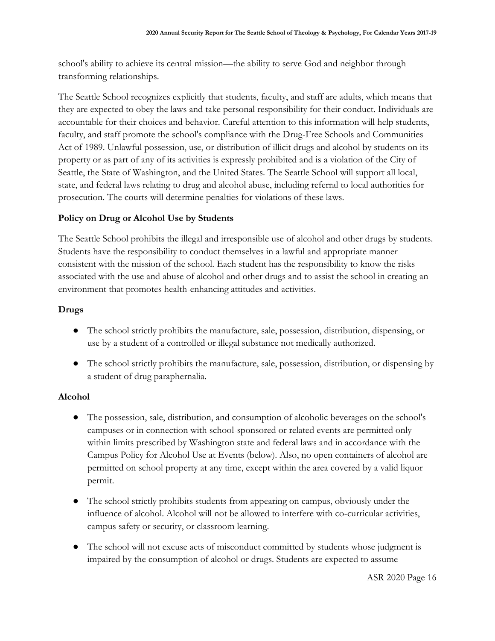school's ability to achieve its central mission—the ability to serve God and neighbor through transforming relationships.

The Seattle School recognizes explicitly that students, faculty, and staff are adults, which means that they are expected to obey the laws and take personal responsibility for their conduct. Individuals are accountable for their choices and behavior. Careful attention to this information will help students, faculty, and staff promote the school's compliance with the Drug-Free Schools and Communities Act of 1989. Unlawful possession, use, or distribution of illicit drugs and alcohol by students on its property or as part of any of its activities is expressly prohibited and is a violation of the City of Seattle, the State of Washington, and the United States. The Seattle School will support all local, state, and federal laws relating to drug and alcohol abuse, including referral to local authorities for prosecution. The courts will determine penalties for violations of these laws.

#### **Policy on Drug or Alcohol Use by Students**

The Seattle School prohibits the illegal and irresponsible use of alcohol and other drugs by students. Students have the responsibility to conduct themselves in a lawful and appropriate manner consistent with the mission of the school. Each student has the responsibility to know the risks associated with the use and abuse of alcohol and other drugs and to assist the school in creating an environment that promotes health-enhancing attitudes and activities.

#### **Drugs**

- The school strictly prohibits the manufacture, sale, possession, distribution, dispensing, or use by a student of a controlled or illegal substance not medically authorized.
- The school strictly prohibits the manufacture, sale, possession, distribution, or dispensing by a student of drug paraphernalia.

#### **Alcohol**

- The possession, sale, distribution, and consumption of alcoholic beverages on the school's campuses or in connection with school-sponsored or related events are permitted only within limits prescribed by Washington state and federal laws and in accordance with the Campus Policy for Alcohol Use at Events (below). Also, no open containers of alcohol are permitted on school property at any time, except within the area covered by a valid liquor permit.
- The school strictly prohibits students from appearing on campus, obviously under the influence of alcohol. Alcohol will not be allowed to interfere with co-curricular activities, campus safety or security, or classroom learning.
- The school will not excuse acts of misconduct committed by students whose judgment is impaired by the consumption of alcohol or drugs. Students are expected to assume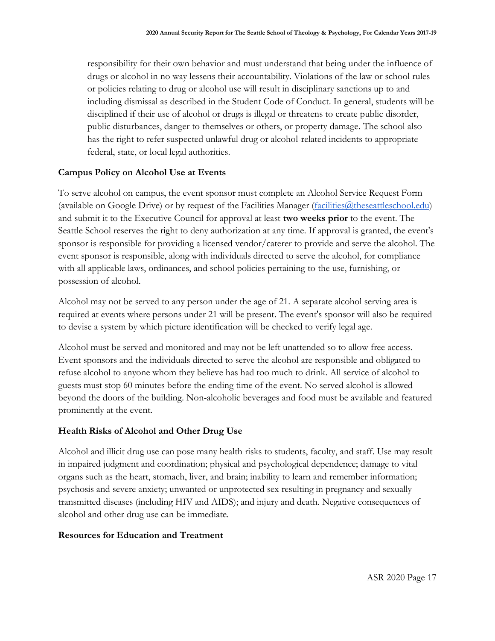responsibility for their own behavior and must understand that being under the influence of drugs or alcohol in no way lessens their accountability. Violations of the law or school rules or policies relating to drug or alcohol use will result in disciplinary sanctions up to and including dismissal as described in the Student Code of Conduct. In general, students will be disciplined if their use of alcohol or drugs is illegal or threatens to create public disorder, public disturbances, danger to themselves or others, or property damage. The school also has the right to refer suspected unlawful drug or alcohol-related incidents to appropriate federal, state, or local legal authorities.

#### **Campus Policy on Alcohol Use at Events**

To serve alcohol on campus, the event sponsor must complete an Alcohol Service Request Form (available on Google Drive) or by request of the Facilities Manager (facilities @theseattleschool.edu) and submit it to the Executive Council for approval at least **two weeks prior** to the event. The Seattle School reserves the right to deny authorization at any time. If approval is granted, the event's sponsor is responsible for providing a licensed vendor/caterer to provide and serve the alcohol. The event sponsor is responsible, along with individuals directed to serve the alcohol, for compliance with all applicable laws, ordinances, and school policies pertaining to the use, furnishing, or possession of alcohol.

Alcohol may not be served to any person under the age of 21. A separate alcohol serving area is required at events where persons under 21 will be present. The event's sponsor will also be required to devise a system by which picture identification will be checked to verify legal age.

Alcohol must be served and monitored and may not be left unattended so to allow free access. Event sponsors and the individuals directed to serve the alcohol are responsible and obligated to refuse alcohol to anyone whom they believe has had too much to drink. All service of alcohol to guests must stop 60 minutes before the ending time of the event. No served alcohol is allowed beyond the doors of the building. Non-alcoholic beverages and food must be available and featured prominently at the event.

#### **Health Risks of Alcohol and Other Drug Use**

Alcohol and illicit drug use can pose many health risks to students, faculty, and staff. Use may result in impaired judgment and coordination; physical and psychological dependence; damage to vital organs such as the heart, stomach, liver, and brain; inability to learn and remember information; psychosis and severe anxiety; unwanted or unprotected sex resulting in pregnancy and sexually transmitted diseases (including HIV and AIDS); and injury and death. Negative consequences of alcohol and other drug use can be immediate.

#### **Resources for Education and Treatment**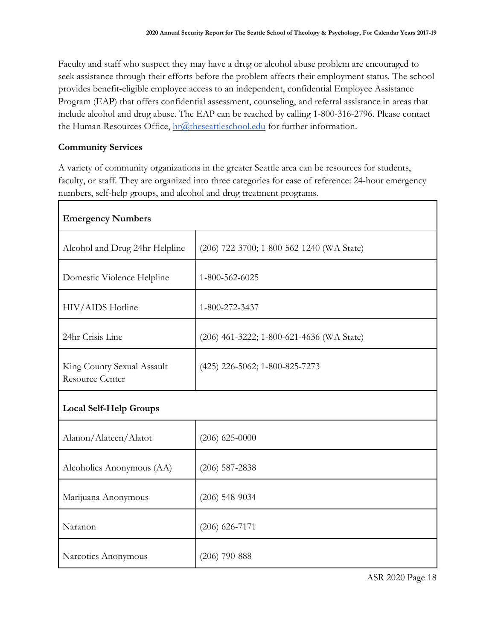Faculty and staff who suspect they may have a drug or alcohol abuse problem are encouraged to seek assistance through their efforts before the problem affects their employment status. The school provides benefit-eligible employee access to an independent, confidential Employee Assistance Program (EAP) that offers confidential assessment, counseling, and referral assistance in areas that include alcohol and drug abuse. The EAP can be reached by calling 1-800-316-2796. Please contact the Human Resources Office, [hr@theseattleschool.edu](mailto:hr@theseattleschool.edu) for further information.

#### **Community Services**

A variety of community organizations in the greater Seattle area can be resources for students, faculty, or staff. They are organized into three categories for ease of reference: 24-hour emergency numbers, self-help groups, and alcohol and drug treatment programs.

| <b>Emergency Numbers</b>                             |                                           |
|------------------------------------------------------|-------------------------------------------|
| Alcohol and Drug 24hr Helpline                       | (206) 722-3700; 1-800-562-1240 (WA State) |
| Domestic Violence Helpline                           | 1-800-562-6025                            |
| HIV/AIDS Hotline                                     | 1-800-272-3437                            |
| 24hr Crisis Line                                     | (206) 461-3222; 1-800-621-4636 (WA State) |
| King County Sexual Assault<br><b>Resource Center</b> | (425) 226-5062; 1-800-825-7273            |
| <b>Local Self-Help Groups</b>                        |                                           |
| Alanon/Alateen/Alatot                                | $(206)$ 625-0000                          |
| Alcoholics Anonymous (AA)                            | $(206)$ 587-2838                          |
| Marijuana Anonymous                                  | $(206)$ 548-9034                          |
| Naranon                                              | $(206)$ 626-7171                          |
| Narcotics Anonymous                                  | $(206)$ 790-888                           |

ASR 2020 Page 18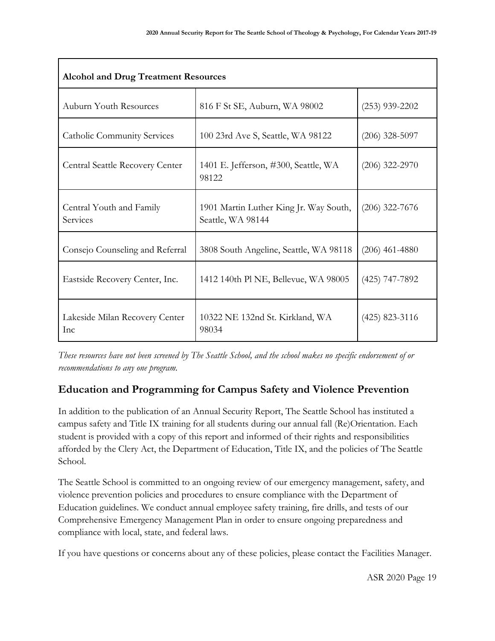| <b>Alcohol and Drug Treatment Resources</b>  |                                                             |                  |  |
|----------------------------------------------|-------------------------------------------------------------|------------------|--|
| <b>Auburn Youth Resources</b>                | 816 F St SE, Auburn, WA 98002                               | $(253)$ 939-2202 |  |
| Catholic Community Services                  | 100 23rd Ave S, Seattle, WA 98122                           | $(206)$ 328-5097 |  |
| Central Seattle Recovery Center              | 1401 E. Jefferson, #300, Seattle, WA<br>98122               | $(206)$ 322-2970 |  |
| Central Youth and Family<br>Services         | 1901 Martin Luther King Jr. Way South,<br>Seattle, WA 98144 | $(206)$ 322-7676 |  |
| Consejo Counseling and Referral              | 3808 South Angeline, Seattle, WA 98118                      | $(206)$ 461-4880 |  |
| Eastside Recovery Center, Inc.               | 1412 140th Pl NE, Bellevue, WA 98005                        | $(425)$ 747-7892 |  |
| Lakeside Milan Recovery Center<br><b>Inc</b> | 10322 NE 132nd St. Kirkland, WA<br>98034                    | $(425)$ 823-3116 |  |

*These resources have not been screened by The Seattle School, and the school makes no specific endorsement of or recommendations to any one program.*

# **Education and Programming for Campus Safety and Violence Prevention**

In addition to the publication of an Annual Security Report, The Seattle School has instituted a campus safety and Title IX training for all students during our annual fall (Re)Orientation. Each student is provided with a copy of this report and informed of their rights and responsibilities afforded by the Clery Act, the Department of Education, Title IX, and the policies of The Seattle School.

The Seattle School is committed to an ongoing review of our emergency management, safety, and violence prevention policies and procedures to ensure compliance with the Department of Education guidelines. We conduct annual employee safety training, fire drills, and tests of our Comprehensive Emergency Management Plan in order to ensure ongoing preparedness and compliance with local, state, and federal laws.

If you have questions or concerns about any of these policies, please contact the Facilities Manager.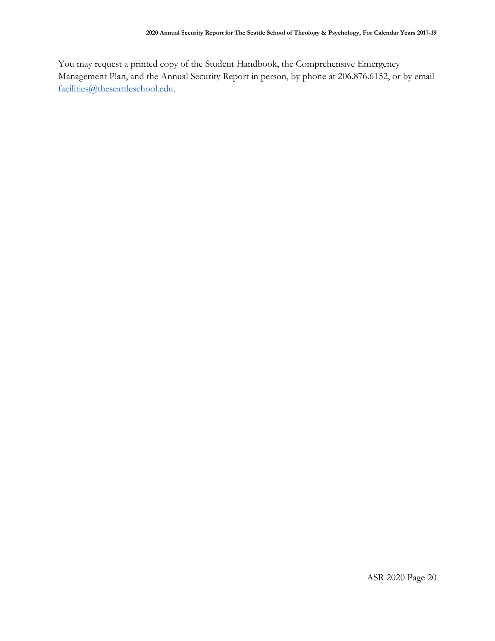You may request a printed copy of the Student Handbook, the Comprehensive Emergency Management Plan, and the Annual Security Report in person, by phone at 206.876.6152, or by email [facilities@theseattleschool.edu.](mailto:facilities@theseattleschool.edu)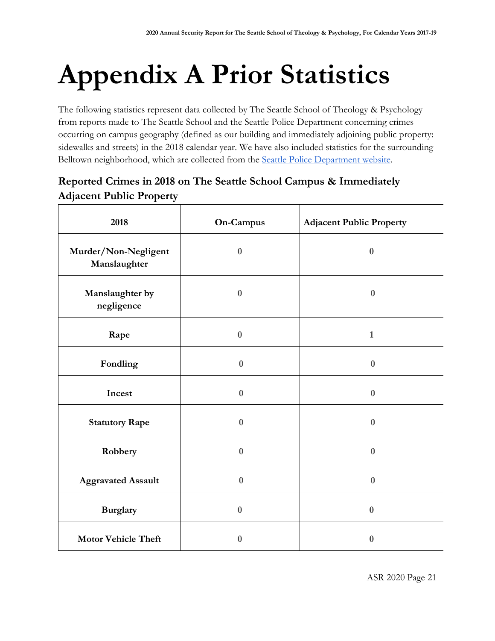# **Appendix A Prior Statistics**

The following statistics represent data collected by The Seattle School of Theology & Psychology from reports made to The Seattle School and the Seattle Police Department concerning crimes occurring on campus geography (defined as our building and immediately adjoining public property: sidewalks and streets) in the 2018 calendar year. We have also included statistics for the surrounding Belltown neighborhood, which are collected from the [Seattle Police Department website.](https://www.seattle.gov/police/information-and-data/crime-dashboard)

# **Reported Crimes in 2018 on The Seattle School Campus & Immediately Adjacent Public Property**

| 2018                                 | On-Campus        | <b>Adjacent Public Property</b> |
|--------------------------------------|------------------|---------------------------------|
| Murder/Non-Negligent<br>Manslaughter | $\bf{0}$         | $\bf{0}$                        |
| Manslaughter by<br>negligence        | $\boldsymbol{0}$ | $\bf{0}$                        |
| Rape                                 | $\boldsymbol{0}$ | $\mathbf{1}$                    |
| Fondling                             | $\boldsymbol{0}$ | $\bf{0}$                        |
| Incest                               | $\bf{0}$         | $\bf{0}$                        |
| <b>Statutory Rape</b>                | $\boldsymbol{0}$ | $\bf{0}$                        |
| Robbery                              | $\bf{0}$         | $\bf{0}$                        |
| <b>Aggravated Assault</b>            | $\boldsymbol{0}$ | $\bf{0}$                        |
| <b>Burglary</b>                      | $\boldsymbol{0}$ | $\bf{0}$                        |
| <b>Motor Vehicle Theft</b>           | $\boldsymbol{0}$ | $\bf{0}$                        |

ASR 2020 Page 21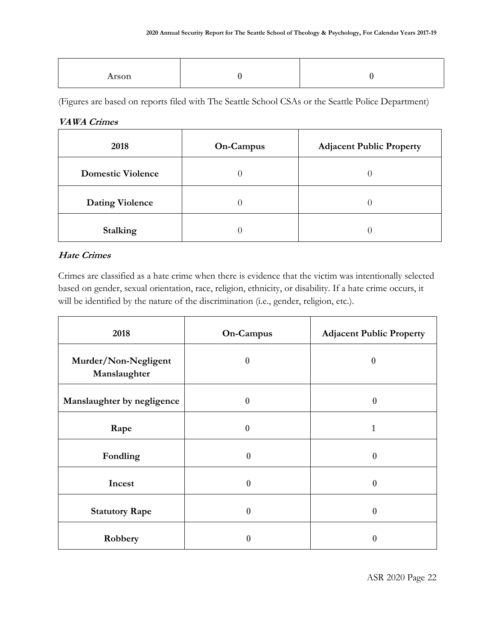(Figures are based on reports filed with The Seattle School CSAs or the Seattle Police Department)

#### **VAWA Crimes**

| 2018                     | <b>On-Campus</b> | <b>Adjacent Public Property</b> |
|--------------------------|------------------|---------------------------------|
| <b>Domestic Violence</b> |                  |                                 |
| <b>Dating Violence</b>   |                  |                                 |
| <b>Stalking</b>          |                  |                                 |

#### **Hate Crimes**

Crimes are classified as a hate crime when there is evidence that the victim was intentionally selected based on gender, sexual orientation, race, religion, ethnicity, or disability. If a hate crime occurs, it will be identified by the nature of the discrimination (i.e., gender, religion, etc.).

| 2018                                 | On-Campus    | <b>Adjacent Public Property</b> |
|--------------------------------------|--------------|---------------------------------|
| Murder/Non-Negligent<br>Manslaughter | $\mathbf{0}$ | $\bf{0}$                        |
| Manslaughter by negligence           | $\Omega$     | $\mathbf{0}$                    |
| Rape                                 | $\Omega$     | 1                               |
| Fondling                             | $\mathbf{0}$ | $\Omega$                        |
| Incest                               | $\mathbf{0}$ | $\mathbf{0}$                    |
| <b>Statutory Rape</b>                | $\bf{0}$     | $\mathbf{0}$                    |
| Robbery                              | 0            |                                 |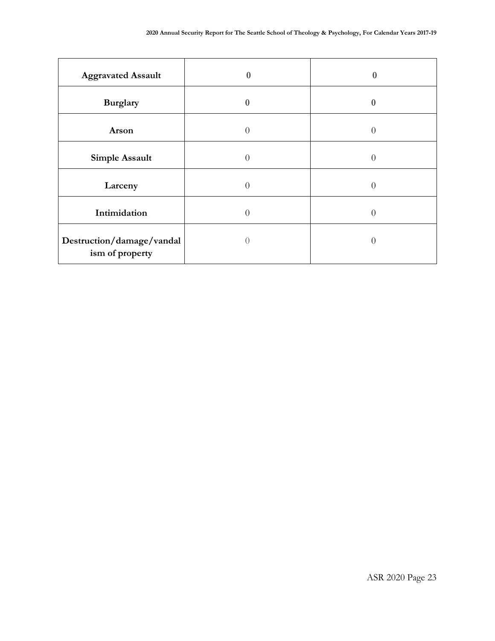| <b>Aggravated Assault</b>                    | $\mathbf{0}$ | 0   |
|----------------------------------------------|--------------|-----|
| <b>Burglary</b>                              | $\Omega$     | 0   |
| Arson                                        | $\Omega$     | 0   |
| <b>Simple Assault</b>                        | ∩            | ( ) |
| Larceny                                      |              | ( ) |
| Intimidation                                 |              | ( ) |
| Destruction/damage/vandal<br>ism of property |              | O   |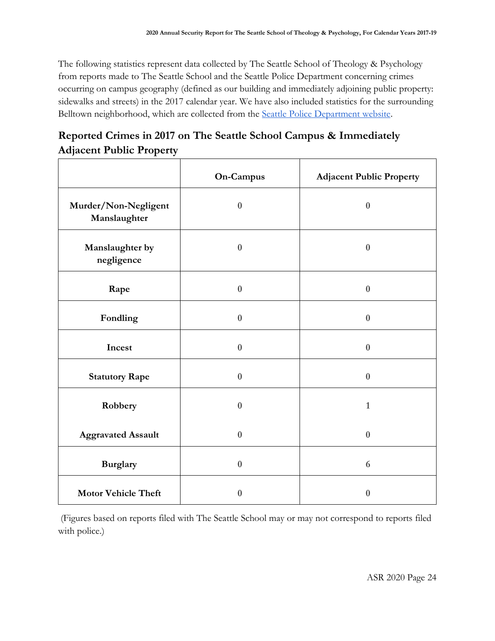The following statistics represent data collected by The Seattle School of Theology & Psychology from reports made to The Seattle School and the Seattle Police Department concerning crimes occurring on campus geography (defined as our building and immediately adjoining public property: sidewalks and streets) in the 2017 calendar year. We have also included statistics for the surrounding Belltown neighborhood, which are collected from the [Seattle Police Department website.](https://www.seattle.gov/police/information-and-data/crime-dashboard)

# **Reported Crimes in 2017 on The Seattle School Campus & Immediately Adjacent Public Property**

|                                      | <b>On-Campus</b> | <b>Adjacent Public Property</b> |
|--------------------------------------|------------------|---------------------------------|
| Murder/Non-Negligent<br>Manslaughter | $\bf{0}$         | $\bf{0}$                        |
| Manslaughter by<br>negligence        | $\bf{0}$         | $\bf{0}$                        |
| Rape                                 | $\bf{0}$         | $\bf{0}$                        |
| Fondling                             | $\boldsymbol{0}$ | $\bf{0}$                        |
| Incest                               | $\boldsymbol{0}$ | $\bf{0}$                        |
| <b>Statutory Rape</b>                | $\bf{0}$         | $\bf{0}$                        |
| Robbery                              | $\boldsymbol{0}$ | $\mathbf{1}$                    |
| <b>Aggravated Assault</b>            | $\boldsymbol{0}$ | $\bf{0}$                        |
| <b>Burglary</b>                      | $\boldsymbol{0}$ | 6                               |
| <b>Motor Vehicle Theft</b>           | $\bf{0}$         | $\bf{0}$                        |

(Figures based on reports filed with The Seattle School may or may not correspond to reports filed with police.)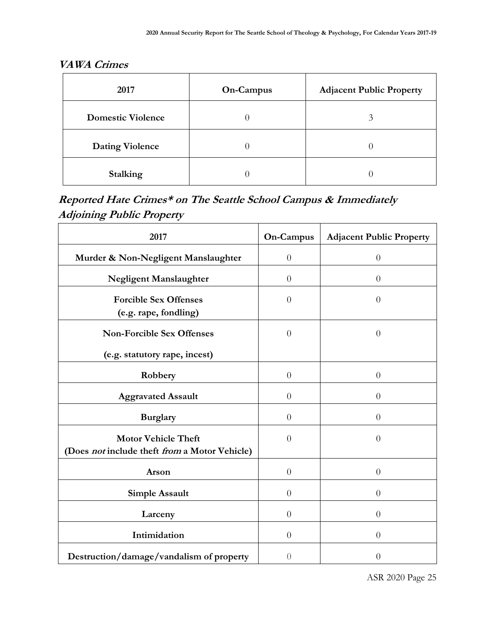# **VAWA Crimes**

| 2017                     | On-Campus | <b>Adjacent Public Property</b> |
|--------------------------|-----------|---------------------------------|
| <b>Domestic Violence</b> |           |                                 |
| <b>Dating Violence</b>   |           |                                 |
| <b>Stalking</b>          |           |                                 |

# **Reported Hate Crimes\* on The Seattle School Campus & Immediately Adjoining Public Property**

| 2017                                                                        | <b>On-Campus</b> | <b>Adjacent Public Property</b> |
|-----------------------------------------------------------------------------|------------------|---------------------------------|
| Murder & Non-Negligent Manslaughter                                         | $\theta$         | $\overline{0}$                  |
| Negligent Manslaughter                                                      | $\theta$         | $\theta$                        |
| <b>Forcible Sex Offenses</b><br>(e.g. rape, fondling)                       | $\theta$         | $\overline{0}$                  |
| <b>Non-Forcible Sex Offenses</b>                                            | $\theta$         | $\overline{0}$                  |
| (e.g. statutory rape, incest)                                               |                  |                                 |
| Robbery                                                                     | $\theta$         | $\theta$                        |
| <b>Aggravated Assault</b>                                                   | $\theta$         | $\overline{0}$                  |
| <b>Burglary</b>                                                             | $\theta$         | $\theta$                        |
| <b>Motor Vehicle Theft</b><br>(Does not include theft from a Motor Vehicle) | $\overline{0}$   | $\Omega$                        |
| Arson                                                                       | $\theta$         | $\theta$                        |
| <b>Simple Assault</b>                                                       | $\theta$         | $\theta$                        |
| Larceny                                                                     | $\theta$         | $\theta$                        |
| Intimidation                                                                | $\theta$         | $\theta$                        |
| Destruction/damage/vandalism of property                                    | $\sqrt{a}$       | $\overline{0}$                  |

ASR 2020 Page 25